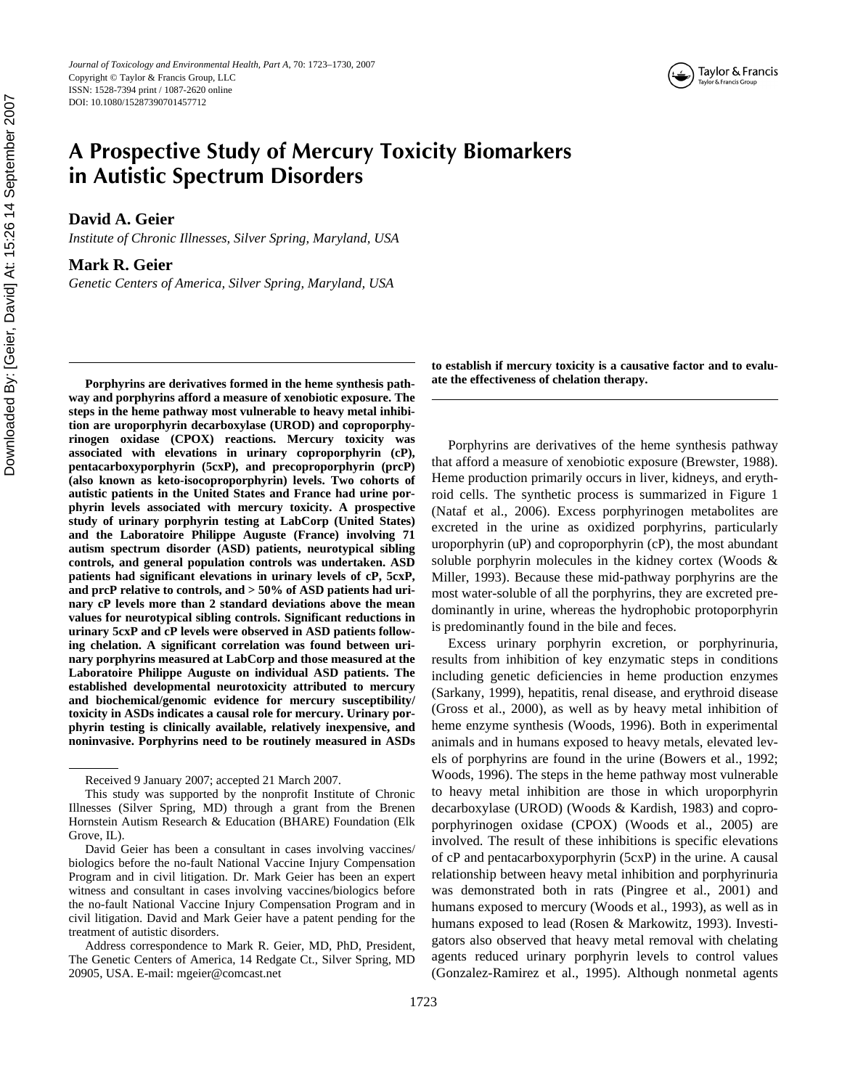

# A Prospective Study of Mercury Toxicity Biomarkers **in Autistic Spectrum Disorders**

# David A. Geier

*Institute of Chronic Illnesses, Silver Spring, Maryland, USA*

## **Mark R. Geier**

*Genetic Centers of America, Silver Spring, Maryland, USA*

**Porphyrins are derivatives formed in the heme synthesis pathway and porphyrins afford a measure of xenobiotic exposure. The steps in the heme pathway most vulnerable to heavy metal inhibition are uroporphyrin decarboxylase (UROD) and coproporphyrinogen oxidase (CPOX) reactions. Mercury toxicity was associated with elevations in urinary coproporphyrin (cP), pentacarboxyporphyrin (5cxP), and precoproporphyrin (prcP) (also known as keto-isocoproporphyrin) levels. Two cohorts of autistic patients in the United States and France had urine porphyrin levels associated with mercury toxicity. A prospective study of urinary porphyrin testing at LabCorp (United States) and the Laboratoire Philippe Auguste (France) involving 71 autism spectrum disorder (ASD) patients, neurotypical sibling controls, and general population controls was undertaken. ASD patients had significant elevations in urinary levels of cP, 5cxP, and prcP relative to controls, and > 50% of ASD patients had urinary cP levels more than 2 standard deviations above the mean values for neurotypical sibling controls. Significant reductions in urinary 5cxP and cP levels were observed in ASD patients following chelation. A significant correlation was found between urinary porphyrins measured at LabCorp and those measured at the Laboratoire Philippe Auguste on individual ASD patients. The established developmental neurotoxicity attributed to mercury and biochemical/genomic evidence for mercury susceptibility/ toxicity in ASDs indicates a causal role for mercury. Urinary porphyrin testing is clinically available, relatively inexpensive, and noninvasive. Porphyrins need to be routinely measured in ASDs** **to establish if mercury toxicity is a causative factor and to evaluate the effectiveness of chelation therapy.**

Porphyrins are derivatives of the heme synthesis pathway that afford a measure of xenobiotic exposure (Brewster, 1988). Heme production primarily occurs in liver, kidneys, and erythroid cells. The synthetic process is summarized in Figure 1 (Nataf et al., 2006). Excess porphyrinogen metabolites are excreted in the urine as oxidized porphyrins, particularly uroporphyrin (uP) and coproporphyrin (cP), the most abundant soluble porphyrin molecules in the kidney cortex (Woods & Miller, 1993). Because these mid-pathway porphyrins are the most water-soluble of all the porphyrins, they are excreted predominantly in urine, whereas the hydrophobic protoporphyrin is predominantly found in the bile and feces.

Excess urinary porphyrin excretion, or porphyrinuria, results from inhibition of key enzymatic steps in conditions including genetic deficiencies in heme production enzymes (Sarkany, 1999), hepatitis, renal disease, and erythroid disease (Gross et al., 2000), as well as by heavy metal inhibition of heme enzyme synthesis (Woods, 1996). Both in experimental animals and in humans exposed to heavy metals, elevated levels of porphyrins are found in the urine (Bowers et al., 1992; Woods, 1996). The steps in the heme pathway most vulnerable to heavy metal inhibition are those in which uroporphyrin decarboxylase (UROD) (Woods & Kardish, 1983) and coproporphyrinogen oxidase (CPOX) (Woods et al., 2005) are involved. The result of these inhibitions is specific elevations of cP and pentacarboxyporphyrin (5cxP) in the urine. A causal relationship between heavy metal inhibition and porphyrinuria was demonstrated both in rats (Pingree et al., 2001) and humans exposed to mercury (Woods et al., 1993), as well as in humans exposed to lead (Rosen & Markowitz, 1993). Investigators also observed that heavy metal removal with chelating agents reduced urinary porphyrin levels to control values (Gonzalez-Ramirez et al., 1995). Although nonmetal agents

Received 9 January 2007; accepted 21 March 2007.

This study was supported by the nonprofit Institute of Chronic Illnesses (Silver Spring, MD) through a grant from the Brenen Hornstein Autism Research & Education (BHARE) Foundation (Elk Grove, IL).

David Geier has been a consultant in cases involving vaccines/ biologics before the no-fault National Vaccine Injury Compensation Program and in civil litigation. Dr. Mark Geier has been an expert witness and consultant in cases involving vaccines/biologics before the no-fault National Vaccine Injury Compensation Program and in civil litigation. David and Mark Geier have a patent pending for the treatment of autistic disorders.

Address correspondence to Mark R. Geier, MD, PhD, President, The Genetic Centers of America, 14 Redgate Ct., Silver Spring, MD 20905, USA. E-mail: mgeier@comcast.net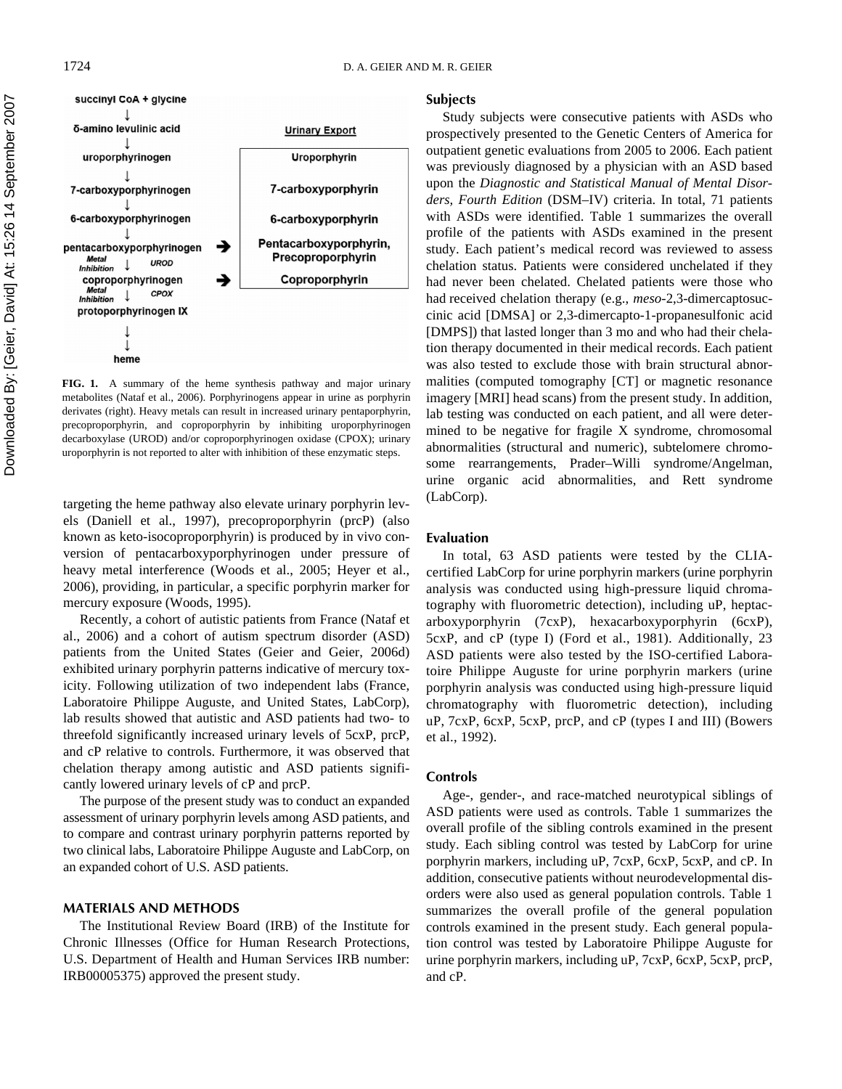

**FIG. 1.** A summary of the heme synthesis pathway and major urinary metabolites (Nataf et al., 2006). Porphyrinogens appear in urine as porphyrin derivates (right). Heavy metals can result in increased urinary pentaporphyrin, precoproporphyrin, and coproporphyrin by inhibiting uroporphyrinogen decarboxylase (UROD) and/or coproporphyrinogen oxidase (CPOX); urinary uroporphyrin is not reported to alter with inhibition of these enzymatic steps.

targeting the heme pathway also elevate urinary porphyrin levels (Daniell et al., 1997), precoproporphyrin (prcP) (also known as keto-isocoproporphyrin) is produced by in vivo conversion of pentacarboxyporphyrinogen under pressure of heavy metal interference (Woods et al., 2005; Heyer et al., 2006), providing, in particular, a specific porphyrin marker for mercury exposure (Woods, 1995).

Recently, a cohort of autistic patients from France (Nataf et al., 2006) and a cohort of autism spectrum disorder (ASD) patients from the United States (Geier and Geier, 2006d) exhibited urinary porphyrin patterns indicative of mercury toxicity. Following utilization of two independent labs (France, Laboratoire Philippe Auguste, and United States, LabCorp), lab results showed that autistic and ASD patients had two- to threefold significantly increased urinary levels of 5cxP, prcP, and cP relative to controls. Furthermore, it was observed that chelation therapy among autistic and ASD patients significantly lowered urinary levels of cP and prcP.

The purpose of the present study was to conduct an expanded assessment of urinary porphyrin levels among ASD patients, and to compare and contrast urinary porphyrin patterns reported by two clinical labs, Laboratoire Philippe Auguste and LabCorp, on an expanded cohort of U.S. ASD patients.

#### **MATERIALS AND METHODS**

The Institutional Review Board (IRB) of the Institute for Chronic Illnesses (Office for Human Research Protections, U.S. Department of Health and Human Services IRB number: IRB00005375) approved the present study.

#### **Subjects**

Study subjects were consecutive patients with ASDs who prospectively presented to the Genetic Centers of America for outpatient genetic evaluations from 2005 to 2006. Each patient was previously diagnosed by a physician with an ASD based upon the *Diagnostic and Statistical Manual of Mental Disorders, Fourth Edition* (DSM–IV) criteria. In total, 71 patients with ASDs were identified. Table 1 summarizes the overall profile of the patients with ASDs examined in the present study. Each patient's medical record was reviewed to assess chelation status. Patients were considered unchelated if they had never been chelated. Chelated patients were those who had received chelation therapy (e.g., *meso*-2,3-dimercaptosuccinic acid [DMSA] or 2,3-dimercapto-1-propanesulfonic acid [DMPS]) that lasted longer than 3 mo and who had their chelation therapy documented in their medical records. Each patient was also tested to exclude those with brain structural abnormalities (computed tomography [CT] or magnetic resonance imagery [MRI] head scans) from the present study. In addition, lab testing was conducted on each patient, and all were determined to be negative for fragile X syndrome, chromosomal abnormalities (structural and numeric), subtelomere chromosome rearrangements, Prader–Willi syndrome/Angelman, urine organic acid abnormalities, and Rett syndrome (LabCorp).

#### **Evaluation**

In total, 63 ASD patients were tested by the CLIAcertified LabCorp for urine porphyrin markers (urine porphyrin analysis was conducted using high-pressure liquid chromatography with fluorometric detection), including uP, heptacarboxyporphyrin (7cxP), hexacarboxyporphyrin (6cxP), 5cxP, and cP (type I) (Ford et al., 1981). Additionally, 23 ASD patients were also tested by the ISO-certified Laboratoire Philippe Auguste for urine porphyrin markers (urine porphyrin analysis was conducted using high-pressure liquid chromatography with fluorometric detection), including uP, 7cxP, 6cxP, 5cxP, prcP, and cP (types I and III) (Bowers et al., 1992).

### **Controls**

Age-, gender-, and race-matched neurotypical siblings of ASD patients were used as controls. Table 1 summarizes the overall profile of the sibling controls examined in the present study. Each sibling control was tested by LabCorp for urine porphyrin markers, including uP, 7cxP, 6cxP, 5cxP, and cP. In addition, consecutive patients without neurodevelopmental disorders were also used as general population controls. Table 1 summarizes the overall profile of the general population controls examined in the present study. Each general population control was tested by Laboratoire Philippe Auguste for urine porphyrin markers, including uP, 7cxP, 6cxP, 5cxP, prcP, and cP.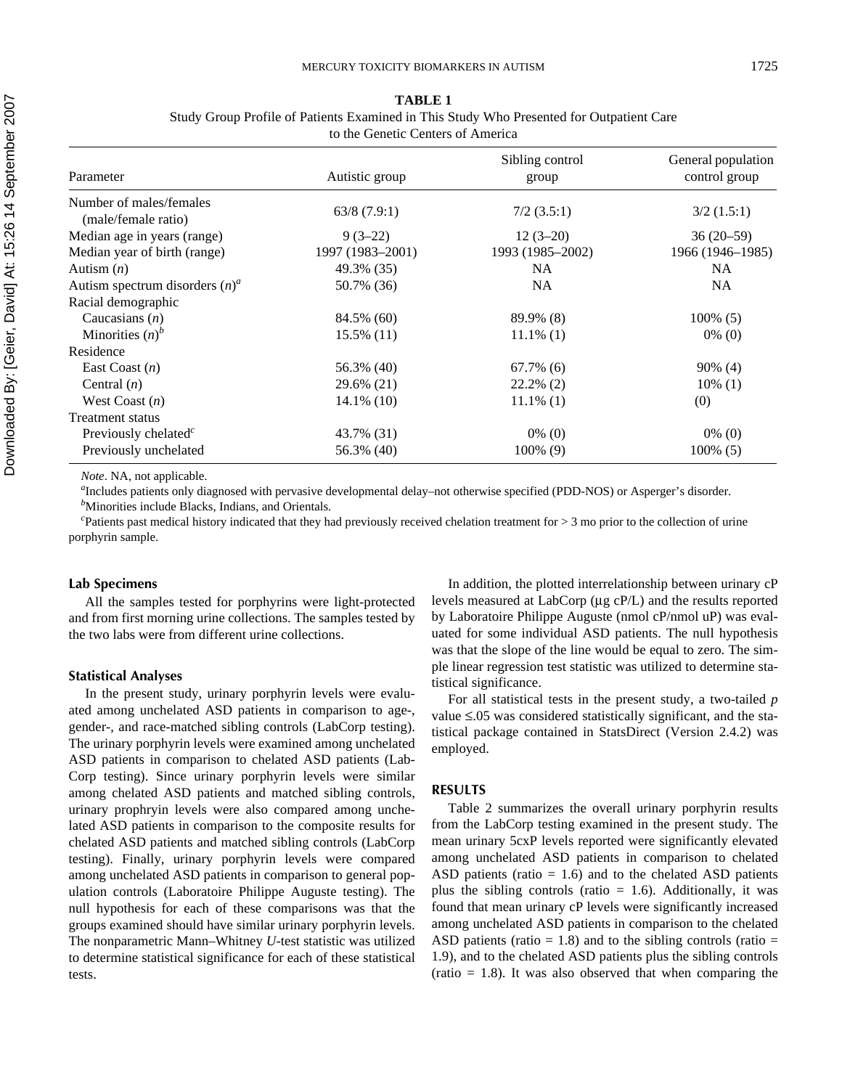| <b>TABLE 1</b>                                                                           |
|------------------------------------------------------------------------------------------|
| Study Group Profile of Patients Examined in This Study Who Presented for Outpatient Care |
| to the Genetic Centers of America                                                        |

| Parameter                                      | Autistic group   | Sibling control  | General population<br>control group |  |
|------------------------------------------------|------------------|------------------|-------------------------------------|--|
|                                                |                  | group            |                                     |  |
| Number of males/females<br>(male/female ratio) | 63/8(7.9:1)      | $7/2$ (3.5:1)    | $3/2$ (1.5:1)                       |  |
| Median age in years (range)                    | $9(3-22)$        | $12(3-20)$       | $36(20-59)$                         |  |
| Median year of birth (range)                   | 1997 (1983–2001) | 1993 (1985-2002) | 1966 (1946–1985)                    |  |
| Autism $(n)$                                   | 49.3% (35)       | <b>NA</b>        | <b>NA</b>                           |  |
| Autism spectrum disorders $(n)^a$              | 50.7% (36)       | <b>NA</b>        | <b>NA</b>                           |  |
| Racial demographic                             |                  |                  |                                     |  |
| Caucasians $(n)$                               | 84.5% (60)       | 89.9% (8)        | $100\%$ (5)                         |  |
| Minorities $(n)^b$                             | $15.5\%$ (11)    | $11.1\%$ (1)     | $0\%$ (0)                           |  |
| Residence                                      |                  |                  |                                     |  |
| East Coast $(n)$                               | 56.3% (40)       | $67.7\%$ (6)     | $90\%$ (4)                          |  |
| Central $(n)$                                  | 29.6% (21)       | $22.2\%$ (2)     | $10\%$ (1)                          |  |
| West Coast $(n)$                               | $14.1\%$ (10)    | $11.1\%$ (1)     | (0)                                 |  |
| <b>Treatment status</b>                        |                  |                  |                                     |  |
| Previously chelated <sup><math>c</math></sup>  | 43.7% (31)       | $0\%$ (0)        | $0\%$ (0)                           |  |
| Previously unchelated                          | 56.3% (40)       | $100\%$ (9)      | $100\%$ (5)                         |  |

*Note*. NA, not applicable.

*a* Includes patients only diagnosed with pervasive developmental delay–not otherwise specified (PDD-NOS) or Asperger's disorder.

*b* Minorities include Blacks, Indians, and Orientals.

*c* Patients past medical history indicated that they had previously received chelation treatment for > 3 mo prior to the collection of urine porphyrin sample.

#### **Lab Specimens**

All the samples tested for porphyrins were light-protected and from first morning urine collections. The samples tested by the two labs were from different urine collections.

#### **Statistical Analyses**

In the present study, urinary porphyrin levels were evaluated among unchelated ASD patients in comparison to age-, gender-, and race-matched sibling controls (LabCorp testing). The urinary porphyrin levels were examined among unchelated ASD patients in comparison to chelated ASD patients (Lab-Corp testing). Since urinary porphyrin levels were similar among chelated ASD patients and matched sibling controls, urinary prophryin levels were also compared among unchelated ASD patients in comparison to the composite results for chelated ASD patients and matched sibling controls (LabCorp testing). Finally, urinary porphyrin levels were compared among unchelated ASD patients in comparison to general population controls (Laboratoire Philippe Auguste testing). The null hypothesis for each of these comparisons was that the groups examined should have similar urinary porphyrin levels. The nonparametric Mann–Whitney *U*-test statistic was utilized to determine statistical significance for each of these statistical tests.

In addition, the plotted interrelationship between urinary cP levels measured at LabCorp (μg cP/L) and the results reported by Laboratoire Philippe Auguste (nmol cP/nmol uP) was evaluated for some individual ASD patients. The null hypothesis was that the slope of the line would be equal to zero. The simple linear regression test statistic was utilized to determine statistical significance.

For all statistical tests in the present study, a two-tailed *p* value ≤.05 was considered statistically significant, and the statistical package contained in StatsDirect (Version 2.4.2) was employed.

#### **RESULTS**

Table 2 summarizes the overall urinary porphyrin results from the LabCorp testing examined in the present study. The mean urinary 5cxP levels reported were significantly elevated among unchelated ASD patients in comparison to chelated ASD patients (ratio  $= 1.6$ ) and to the chelated ASD patients plus the sibling controls (ratio  $= 1.6$ ). Additionally, it was found that mean urinary cP levels were significantly increased among unchelated ASD patients in comparison to the chelated ASD patients (ratio  $= 1.8$ ) and to the sibling controls (ratio  $=$ 1.9), and to the chelated ASD patients plus the sibling controls (ratio  $= 1.8$ ). It was also observed that when comparing the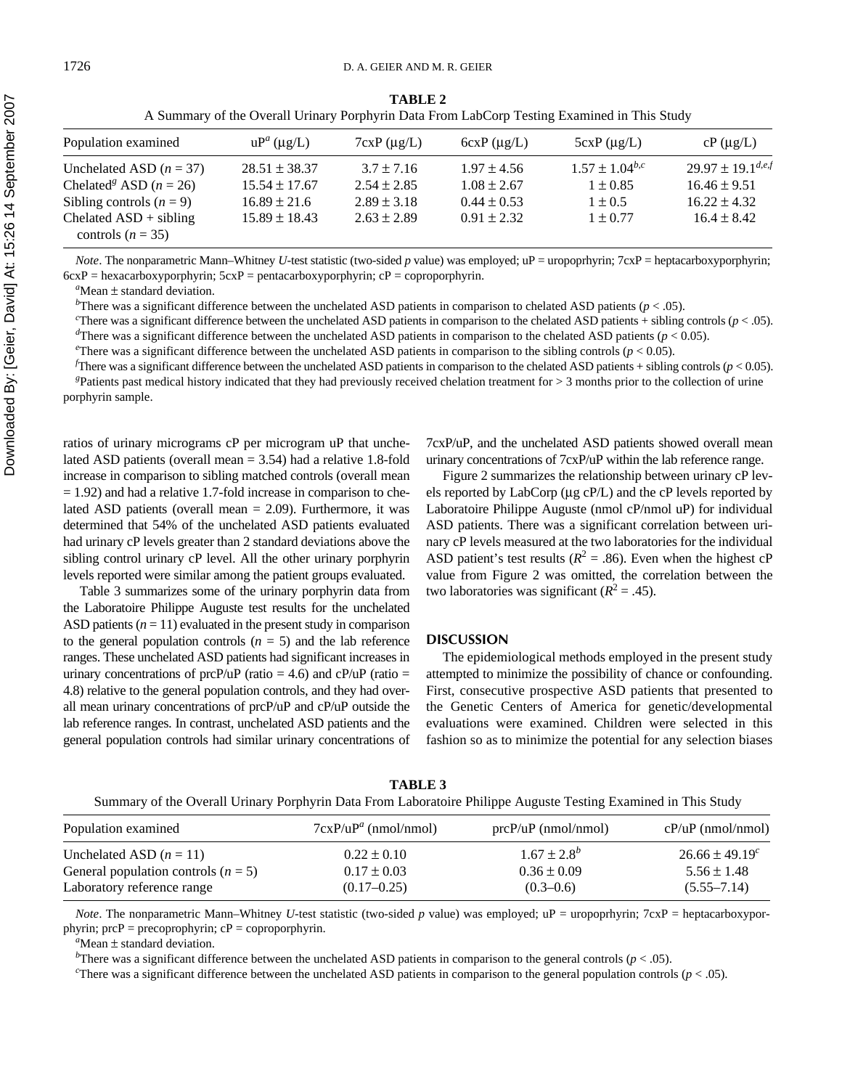Downloaded By: [Geier, David] At: 15:26 14 September 2007

Downloaded By: [Geier, David] At: 15:26 14 September 2007

| Population examined                    | $uP^a(\mu g/L)$   | $7cxP (\mu g/L)$ | $6cxP(\mu g/L)$ | $5cxP(\mu g/L)$       | $cP(\mu g/L)$           |  |
|----------------------------------------|-------------------|------------------|-----------------|-----------------------|-------------------------|--|
| Unchelated ASD $(n = 37)$              | $28.51 \pm 38.37$ | $3.7 \pm 7.16$   | $1.97 \pm 4.56$ | $1.57 \pm 1.04^{b,c}$ | $29.97 \pm 19.1^{d,ef}$ |  |
| Chelated <sup>8</sup> ASD ( $n = 26$ ) | $15.54 \pm 17.67$ | $2.54 \pm 2.85$  | $1.08 \pm 2.67$ | $1 \pm 0.85$          | $16.46 \pm 9.51$        |  |
| Sibling controls $(n = 9)$             | $16.89 \pm 21.6$  | $2.89 \pm 3.18$  | $0.44 \pm 0.53$ | $1 \pm 0.5$           | $16.22 \pm 4.32$        |  |
| Chelated $ASD + sibling$               | $15.89 \pm 18.43$ | $2.63 \pm 2.89$  | $0.91 \pm 2.32$ | $1 \pm 0.77$          | $16.4 \pm 8.42$         |  |
| controls $(n = 35)$                    |                   |                  |                 |                       |                         |  |

**TABLE 2** A Summary of the Overall Urinary Porphyrin Data From LabCorp Testing Examined in This Study

*Note*. The nonparametric Mann–Whitney *U*-test statistic (two-sided *p* value) was employed; uP = uropoprhyrin; 7cxP = heptacarboxyporphyrin;  $6cxP = hexacarboxyporphyrin$ ;  $5cxP = pentacarboxyporphyrin$ ;  $cP = coproporphyrin$ .

*a* Mean ± standard deviation.

*b* There was a significant difference between the unchelated ASD patients in comparison to chelated ASD patients (*p* < .05).

<sup>c</sup>There was a significant difference between the unchelated ASD patients in comparison to the chelated ASD patients + sibling controls ( $p < .05$ ).

 $d$ There was a significant difference between the unchelated ASD patients in comparison to the chelated ASD patients ( $p$  < 0.05).

*e* There was a significant difference between the unchelated ASD patients in comparison to the sibling controls (*p* < 0.05).

*f* There was a significant difference between the unchelated ASD patients in comparison to the chelated ASD patients + sibling controls ( $p < 0.05$ ). *g* Patients past medical history indicated that they had previously received chelation treatment for > 3 months prior to the collection of urine porphyrin sample.

ratios of urinary micrograms cP per microgram uP that unchelated ASD patients (overall mean = 3.54) had a relative 1.8-fold increase in comparison to sibling matched controls (overall mean  $= 1.92$ ) and had a relative 1.7-fold increase in comparison to chelated ASD patients (overall mean = 2.09). Furthermore, it was determined that 54% of the unchelated ASD patients evaluated had urinary cP levels greater than 2 standard deviations above the sibling control urinary cP level. All the other urinary porphyrin levels reported were similar among the patient groups evaluated.

Table 3 summarizes some of the urinary porphyrin data from the Laboratoire Philippe Auguste test results for the unchelated ASD patients  $(n = 11)$  evaluated in the present study in comparison to the general population controls  $(n = 5)$  and the lab reference ranges. These unchelated ASD patients had significant increases in urinary concentrations of prcP/uP (ratio  $=$  4.6) and cP/uP (ratio  $=$ 4.8) relative to the general population controls, and they had overall mean urinary concentrations of prcP/uP and cP/uP outside the lab reference ranges. In contrast, unchelated ASD patients and the general population controls had similar urinary concentrations of 7cxP/uP, and the unchelated ASD patients showed overall mean urinary concentrations of 7cxP/uP within the lab reference range.

Figure 2 summarizes the relationship between urinary cP levels reported by LabCorp (μg cP/L) and the cP levels reported by Laboratoire Philippe Auguste (nmol cP/nmol uP) for individual ASD patients. There was a significant correlation between urinary cP levels measured at the two laboratories for the individual ASD patient's test results ( $R^2 = .86$ ). Even when the highest cP value from Figure 2 was omitted, the correlation between the two laboratories was significant  $(R^2 = .45)$ .

#### **DISCUSSION**

The epidemiological methods employed in the present study attempted to minimize the possibility of chance or confounding. First, consecutive prospective ASD patients that presented to the Genetic Centers of America for genetic/developmental evaluations were examined. Children were selected in this fashion so as to minimize the potential for any selection biases

| Population examined                     | $7cxP/uP^a$ (nmol/nmol) | $prcP/uP$ (nmol/nmol) | $cP/uP$ (nmol/nmol)            |  |
|-----------------------------------------|-------------------------|-----------------------|--------------------------------|--|
| Unchelated ASD $(n = 11)$               | $0.22 \pm 0.10$         | $1.67 \pm 2.8^b$      | $26.66 \pm 49.19$ <sup>c</sup> |  |
| General population controls ( $n = 5$ ) | $0.17 \pm 0.03$         | $0.36 \pm 0.09$       | $5.56 \pm 1.48$                |  |
| Laboratory reference range              | $(0.17 - 0.25)$         | $(0.3-0.6)$           | $(5.55 - 7.14)$                |  |

**TABLE 3**  Summary of the Overall Urinary Porphyrin Data From Laboratoire Philippe Auguste Testing Examined in This Study

*Note*. The nonparametric Mann–Whitney *U*-test statistic (two-sided *p* value) was employed; uP = uropoprhyrin; 7cxP = heptacarboxyporphyrin;  $preP = precoprophyrin$ ;  $cP = copropopypirin$ .

*a* Mean ± standard deviation.

*b* There was a significant difference between the unchelated ASD patients in comparison to the general controls ( $p < .05$ ).

There was a significant difference between the unchelated ASD patients in comparison to the general population controls  $(p < .05)$ .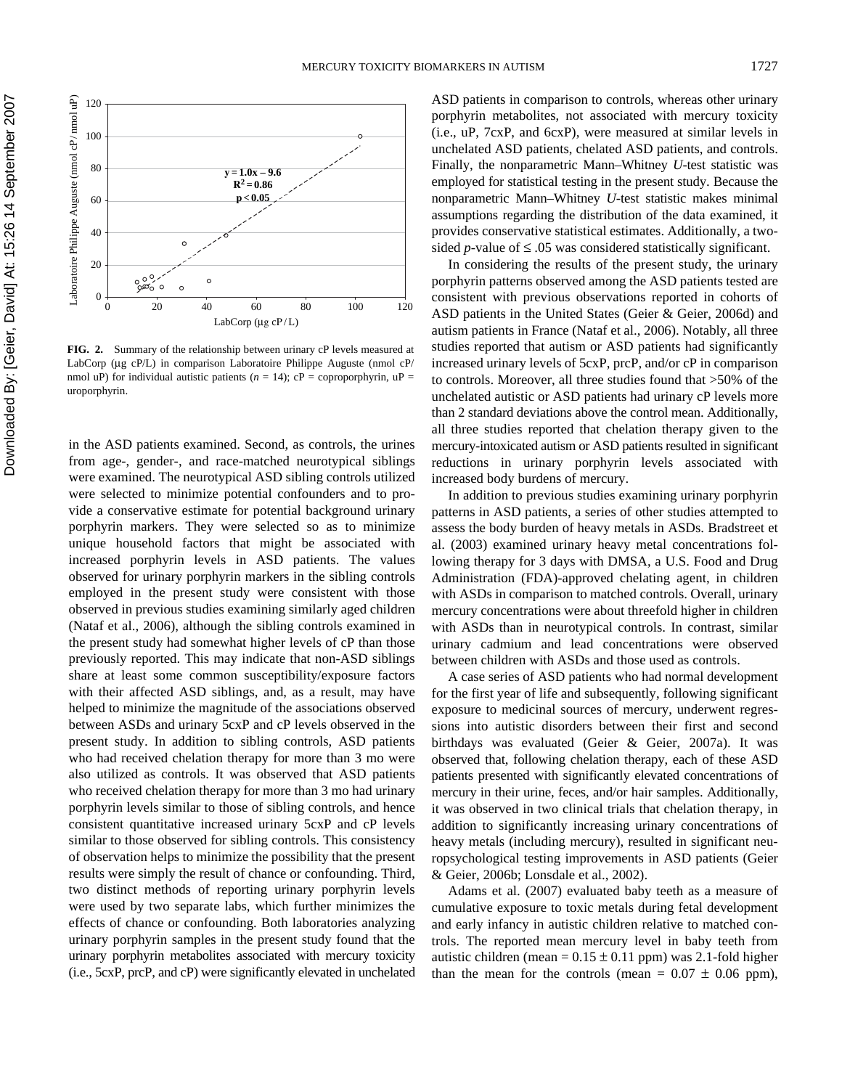

**FIG. 2.** Summary of the relationship between urinary cP levels measured at LabCorp (μg cP/L) in comparison Laboratoire Philippe Auguste (nmol cP/ nmol uP) for individual autistic patients ( $n = 14$ ); cP = coproporphyrin, uP = uroporphyrin.

in the ASD patients examined. Second, as controls, the urines from age-, gender-, and race-matched neurotypical siblings were examined. The neurotypical ASD sibling controls utilized were selected to minimize potential confounders and to provide a conservative estimate for potential background urinary porphyrin markers. They were selected so as to minimize unique household factors that might be associated with increased porphyrin levels in ASD patients. The values observed for urinary porphyrin markers in the sibling controls employed in the present study were consistent with those observed in previous studies examining similarly aged children (Nataf et al., 2006), although the sibling controls examined in the present study had somewhat higher levels of cP than those previously reported. This may indicate that non-ASD siblings share at least some common susceptibility/exposure factors with their affected ASD siblings, and, as a result, may have helped to minimize the magnitude of the associations observed between ASDs and urinary 5cxP and cP levels observed in the present study. In addition to sibling controls, ASD patients who had received chelation therapy for more than 3 mo were also utilized as controls. It was observed that ASD patients who received chelation therapy for more than 3 mo had urinary porphyrin levels similar to those of sibling controls, and hence consistent quantitative increased urinary 5cxP and cP levels similar to those observed for sibling controls. This consistency of observation helps to minimize the possibility that the present results were simply the result of chance or confounding. Third, two distinct methods of reporting urinary porphyrin levels were used by two separate labs, which further minimizes the effects of chance or confounding. Both laboratories analyzing urinary porphyrin samples in the present study found that the urinary porphyrin metabolites associated with mercury toxicity (i.e., 5cxP, prcP, and cP) were significantly elevated in unchelated ASD patients in comparison to controls, whereas other urinary porphyrin metabolites, not associated with mercury toxicity (i.e., uP, 7cxP, and 6cxP), were measured at similar levels in unchelated ASD patients, chelated ASD patients, and controls. Finally, the nonparametric Mann–Whitney *U*-test statistic was employed for statistical testing in the present study. Because the nonparametric Mann–Whitney *U*-test statistic makes minimal assumptions regarding the distribution of the data examined, it provides conservative statistical estimates. Additionally, a twosided *p*-value of  $\leq$  .05 was considered statistically significant.

In considering the results of the present study, the urinary porphyrin patterns observed among the ASD patients tested are consistent with previous observations reported in cohorts of ASD patients in the United States (Geier & Geier, 2006d) and autism patients in France (Nataf et al., 2006). Notably, all three studies reported that autism or ASD patients had significantly increased urinary levels of 5cxP, prcP, and/or cP in comparison to controls. Moreover, all three studies found that >50% of the unchelated autistic or ASD patients had urinary cP levels more than 2 standard deviations above the control mean. Additionally, all three studies reported that chelation therapy given to the mercury-intoxicated autism or ASD patients resulted in significant reductions in urinary porphyrin levels associated with increased body burdens of mercury.

In addition to previous studies examining urinary porphyrin patterns in ASD patients, a series of other studies attempted to assess the body burden of heavy metals in ASDs. Bradstreet et al. (2003) examined urinary heavy metal concentrations following therapy for 3 days with DMSA, a U.S. Food and Drug Administration (FDA)-approved chelating agent, in children with ASDs in comparison to matched controls. Overall, urinary mercury concentrations were about threefold higher in children with ASDs than in neurotypical controls. In contrast, similar urinary cadmium and lead concentrations were observed between children with ASDs and those used as controls.

A case series of ASD patients who had normal development for the first year of life and subsequently, following significant exposure to medicinal sources of mercury, underwent regressions into autistic disorders between their first and second birthdays was evaluated (Geier & Geier, 2007a). It was observed that, following chelation therapy, each of these ASD patients presented with significantly elevated concentrations of mercury in their urine, feces, and/or hair samples. Additionally, it was observed in two clinical trials that chelation therapy, in addition to significantly increasing urinary concentrations of heavy metals (including mercury), resulted in significant neuropsychological testing improvements in ASD patients (Geier & Geier, 2006b; Lonsdale et al., 2002).

Adams et al. (2007) evaluated baby teeth as a measure of cumulative exposure to toxic metals during fetal development and early infancy in autistic children relative to matched controls. The reported mean mercury level in baby teeth from autistic children (mean =  $0.15 \pm 0.11$  ppm) was 2.1-fold higher than the mean for the controls (mean =  $0.07 \pm 0.06$  ppm),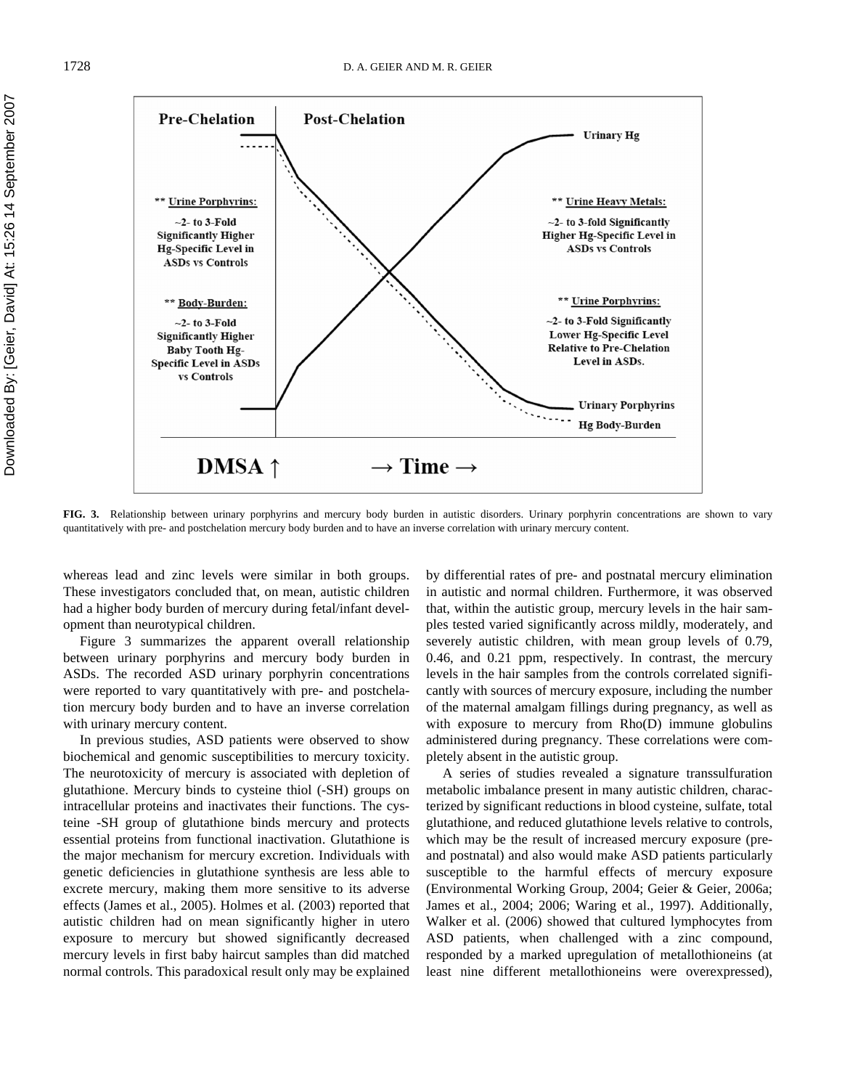

**FIG. 3.** Relationship between urinary porphyrins and mercury body burden in autistic disorders. Urinary porphyrin concentrations are shown to vary quantitatively with pre- and postchelation mercury body burden and to have an inverse correlation with urinary mercury content.

whereas lead and zinc levels were similar in both groups. These investigators concluded that, on mean, autistic children had a higher body burden of mercury during fetal/infant development than neurotypical children.

Figure 3 summarizes the apparent overall relationship between urinary porphyrins and mercury body burden in ASDs. The recorded ASD urinary porphyrin concentrations were reported to vary quantitatively with pre- and postchelation mercury body burden and to have an inverse correlation with urinary mercury content.

In previous studies, ASD patients were observed to show biochemical and genomic susceptibilities to mercury toxicity. The neurotoxicity of mercury is associated with depletion of glutathione. Mercury binds to cysteine thiol (-SH) groups on intracellular proteins and inactivates their functions. The cysteine -SH group of glutathione binds mercury and protects essential proteins from functional inactivation. Glutathione is the major mechanism for mercury excretion. Individuals with genetic deficiencies in glutathione synthesis are less able to excrete mercury, making them more sensitive to its adverse effects (James et al., 2005). Holmes et al. (2003) reported that autistic children had on mean significantly higher in utero exposure to mercury but showed significantly decreased mercury levels in first baby haircut samples than did matched normal controls. This paradoxical result only may be explained

by differential rates of pre- and postnatal mercury elimination in autistic and normal children. Furthermore, it was observed that, within the autistic group, mercury levels in the hair samples tested varied significantly across mildly, moderately, and severely autistic children, with mean group levels of 0.79, 0.46, and 0.21 ppm, respectively. In contrast, the mercury levels in the hair samples from the controls correlated significantly with sources of mercury exposure, including the number of the maternal amalgam fillings during pregnancy, as well as with exposure to mercury from Rho(D) immune globulins administered during pregnancy. These correlations were completely absent in the autistic group.

A series of studies revealed a signature transsulfuration metabolic imbalance present in many autistic children, characterized by significant reductions in blood cysteine, sulfate, total glutathione, and reduced glutathione levels relative to controls, which may be the result of increased mercury exposure (preand postnatal) and also would make ASD patients particularly susceptible to the harmful effects of mercury exposure (Environmental Working Group, 2004; Geier & Geier, 2006a; James et al., 2004; 2006; Waring et al., 1997). Additionally, Walker et al. (2006) showed that cultured lymphocytes from ASD patients, when challenged with a zinc compound, responded by a marked upregulation of metallothioneins (at least nine different metallothioneins were overexpressed),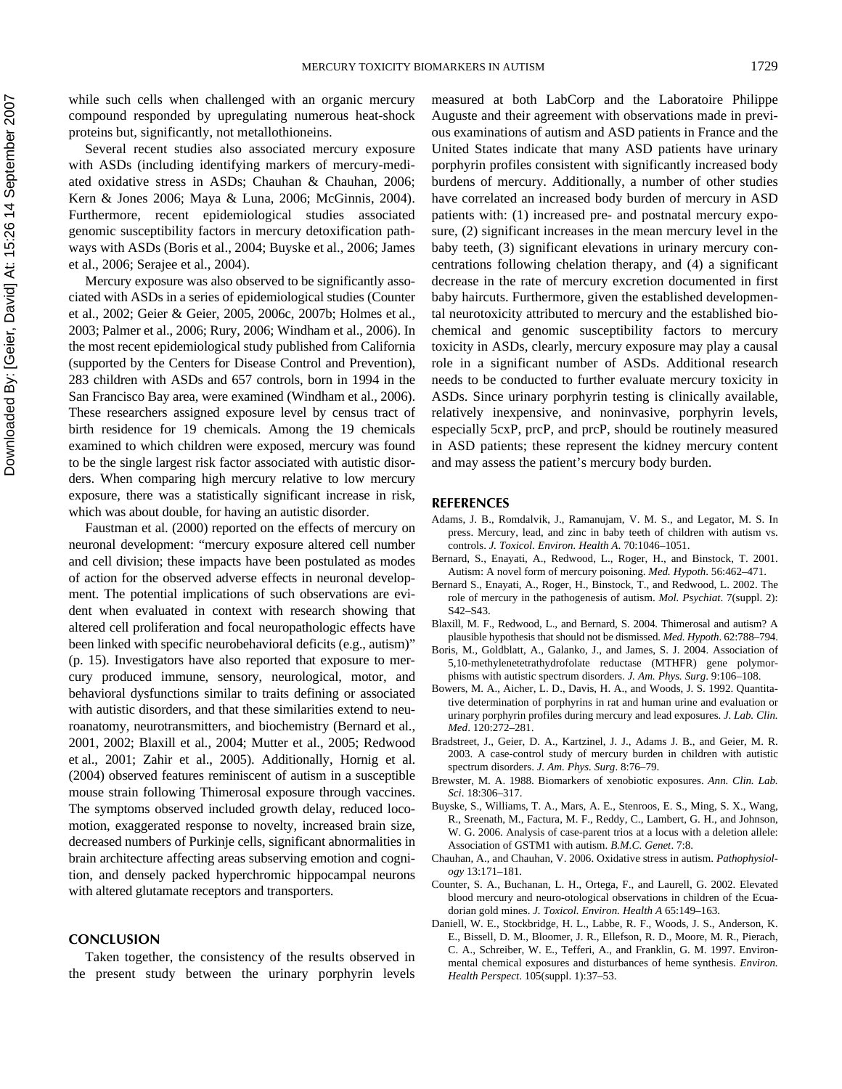while such cells when challenged with an organic mercury compound responded by upregulating numerous heat-shock proteins but, significantly, not metallothioneins.

Several recent studies also associated mercury exposure with ASDs (including identifying markers of mercury-mediated oxidative stress in ASDs; Chauhan & Chauhan, 2006; Kern & Jones 2006; Maya & Luna, 2006; McGinnis, 2004). Furthermore, recent epidemiological studies associated genomic susceptibility factors in mercury detoxification pathways with ASDs (Boris et al., 2004; Buyske et al., 2006; James et al., 2006; Serajee et al., 2004).

Mercury exposure was also observed to be significantly associated with ASDs in a series of epidemiological studies (Counter et al., 2002; Geier & Geier, 2005, 2006c, 2007b; Holmes et al., 2003; Palmer et al., 2006; Rury, 2006; Windham et al., 2006). In the most recent epidemiological study published from California (supported by the Centers for Disease Control and Prevention), 283 children with ASDs and 657 controls, born in 1994 in the San Francisco Bay area, were examined (Windham et al., 2006). These researchers assigned exposure level by census tract of birth residence for 19 chemicals. Among the 19 chemicals examined to which children were exposed, mercury was found to be the single largest risk factor associated with autistic disorders. When comparing high mercury relative to low mercury exposure, there was a statistically significant increase in risk, which was about double, for having an autistic disorder.

Faustman et al. (2000) reported on the effects of mercury on neuronal development: "mercury exposure altered cell number and cell division; these impacts have been postulated as modes of action for the observed adverse effects in neuronal development. The potential implications of such observations are evident when evaluated in context with research showing that altered cell proliferation and focal neuropathologic effects have been linked with specific neurobehavioral deficits (e.g., autism)" (p. 15). Investigators have also reported that exposure to mercury produced immune, sensory, neurological, motor, and behavioral dysfunctions similar to traits defining or associated with autistic disorders, and that these similarities extend to neuroanatomy, neurotransmitters, and biochemistry (Bernard et al., 2001, 2002; Blaxill et al., 2004; Mutter et al., 2005; Redwood et al., 2001; Zahir et al., 2005). Additionally, Hornig et al. (2004) observed features reminiscent of autism in a susceptible mouse strain following Thimerosal exposure through vaccines. The symptoms observed included growth delay, reduced locomotion, exaggerated response to novelty, increased brain size, decreased numbers of Purkinje cells, significant abnormalities in brain architecture affecting areas subserving emotion and cognition, and densely packed hyperchromic hippocampal neurons with altered glutamate receptors and transporters.

#### **CONCLUSION**

Taken together, the consistency of the results observed in the present study between the urinary porphyrin levels

measured at both LabCorp and the Laboratoire Philippe Auguste and their agreement with observations made in previous examinations of autism and ASD patients in France and the United States indicate that many ASD patients have urinary porphyrin profiles consistent with significantly increased body burdens of mercury. Additionally, a number of other studies have correlated an increased body burden of mercury in ASD patients with: (1) increased pre- and postnatal mercury exposure, (2) significant increases in the mean mercury level in the baby teeth, (3) significant elevations in urinary mercury concentrations following chelation therapy, and (4) a significant decrease in the rate of mercury excretion documented in first baby haircuts. Furthermore, given the established developmental neurotoxicity attributed to mercury and the established biochemical and genomic susceptibility factors to mercury toxicity in ASDs, clearly, mercury exposure may play a causal role in a significant number of ASDs. Additional research needs to be conducted to further evaluate mercury toxicity in ASDs. Since urinary porphyrin testing is clinically available, relatively inexpensive, and noninvasive, porphyrin levels, especially 5cxP, prcP, and prcP, should be routinely measured in ASD patients; these represent the kidney mercury content and may assess the patient's mercury body burden.

#### **REFERENCES**

- Adams, J. B., Romdalvik, J., Ramanujam, V. M. S., and Legator, M. S. In press. Mercury, lead, and zinc in baby teeth of children with autism vs. controls. *J. Toxicol. Environ. Health A*. 70:1046–1051.
- Bernard, S., Enayati, A., Redwood, L., Roger, H., and Binstock, T. 2001. Autism: A novel form of mercury poisoning. *Med. Hypoth*. 56:462–471.
- Bernard S., Enayati, A., Roger, H., Binstock, T., and Redwood, L. 2002. The role of mercury in the pathogenesis of autism. *Mol. Psychiat*. 7(suppl. 2): S42–S43.
- Blaxill, M. F., Redwood, L., and Bernard, S. 2004. Thimerosal and autism? A plausible hypothesis that should not be dismissed. *Med. Hypoth*. 62:788–794.
- Boris, M., Goldblatt, A., Galanko, J., and James, S. J. 2004. Association of 5,10-methylenetetrathydrofolate reductase (MTHFR) gene polymorphisms with autistic spectrum disorders. *J. Am. Phys. Surg*. 9:106–108.
- Bowers, M. A., Aicher, L. D., Davis, H. A., and Woods, J. S. 1992. Quantitative determination of porphyrins in rat and human urine and evaluation or urinary porphyrin profiles during mercury and lead exposures. *J. Lab. Clin. Med*. 120:272–281.
- Bradstreet, J., Geier, D. A., Kartzinel, J. J., Adams J. B., and Geier, M. R. 2003. A case-control study of mercury burden in children with autistic spectrum disorders. *J. Am. Phys. Surg*. 8:76–79.
- Brewster, M. A. 1988. Biomarkers of xenobiotic exposures. *Ann. Clin. Lab. Sci*. 18:306–317.
- Buyske, S., Williams, T. A., Mars, A. E., Stenroos, E. S., Ming, S. X., Wang, R., Sreenath, M., Factura, M. F., Reddy, C., Lambert, G. H., and Johnson, W. G. 2006. Analysis of case-parent trios at a locus with a deletion allele: Association of GSTM1 with autism. *B.M.C. Genet*. 7:8.
- Chauhan, A., and Chauhan, V. 2006. Oxidative stress in autism. *Pathophysiology* 13:171–181.
- Counter, S. A., Buchanan, L. H., Ortega, F., and Laurell, G. 2002. Elevated blood mercury and neuro-otological observations in children of the Ecuadorian gold mines. *J. Toxicol. Environ. Health A* 65:149–163.
- Daniell, W. E., Stockbridge, H. L., Labbe, R. F., Woods, J. S., Anderson, K. E., Bissell, D. M., Bloomer, J. R., Ellefson, R. D., Moore, M. R., Pierach, C. A., Schreiber, W. E., Tefferi, A., and Franklin, G. M. 1997. Environmental chemical exposures and disturbances of heme synthesis. *Environ. Health Perspect*. 105(suppl. 1):37–53.